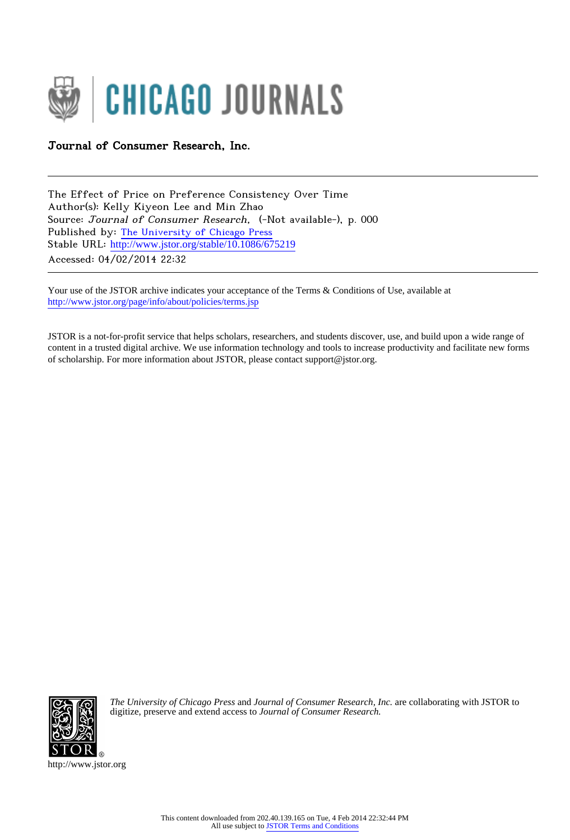

# Journal of Consumer Research, Inc.

The Effect of Price on Preference Consistency Over Time Author(s): Kelly Kiyeon Lee and Min Zhao Source: Journal of Consumer Research, (-Not available-), p. 000 Published by: [The University of Chicago Press](http://www.jstor.org/action/showPublisher?publisherCode=ucpress) Stable URL: http://www.jstor.org/stable/10.1086/675219 Accessed: 04/02/2014 22:32

Your use of the JSTOR archive indicates your acceptance of the Terms & Conditions of Use, available at <http://www.jstor.org/page/info/about/policies/terms.jsp>

JSTOR is a not-for-profit service that helps scholars, researchers, and students discover, use, and build upon a wide range of content in a trusted digital archive. We use information technology and tools to increase productivity and facilitate new forms of scholarship. For more information about JSTOR, please contact support@jstor.org.



*The University of Chicago Press* and *Journal of Consumer Research, Inc.* are collaborating with JSTOR to digitize, preserve and extend access to *Journal of Consumer Research.*

http://www.jstor.org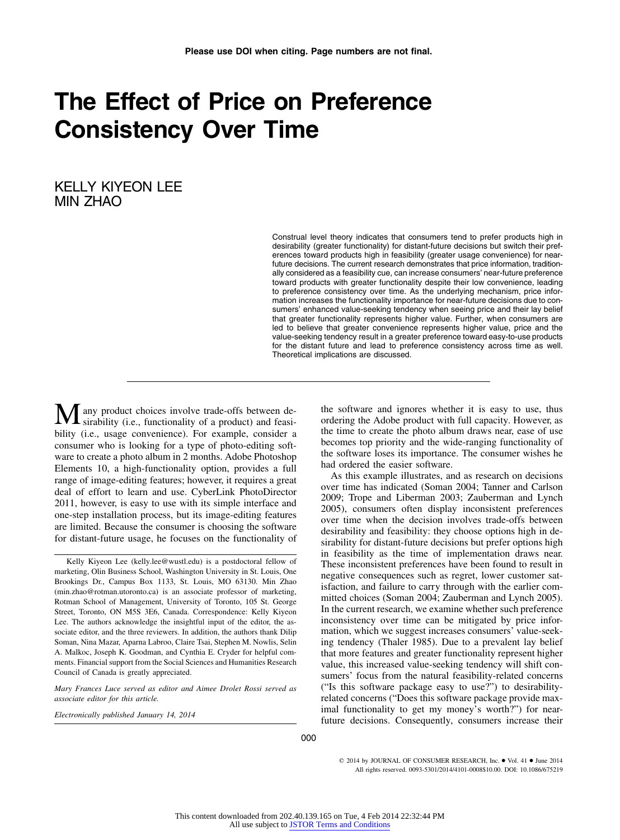# **The Effect of Price on Preference Consistency Over Time**

KELLY KIYEON LEE MIN ZHAO

> Construal level theory indicates that consumers tend to prefer products high in desirability (greater functionality) for distant-future decisions but switch their preferences toward products high in feasibility (greater usage convenience) for nearfuture decisions. The current research demonstrates that price information, traditionally considered as a feasibility cue, can increase consumers' near-future preference toward products with greater functionality despite their low convenience, leading to preference consistency over time. As the underlying mechanism, price information increases the functionality importance for near-future decisions due to consumers' enhanced value-seeking tendency when seeing price and their lay belief that greater functionality represents higher value. Further, when consumers are led to believe that greater convenience represents higher value, price and the value-seeking tendency result in a greater preference toward easy-to-use products for the distant future and lead to preference consistency across time as well. Theoretical implications are discussed.

any product choices involve trade-offs between desirability (i.e., functionality of a product) and feasibility (i.e., usage convenience). For example, consider a consumer who is looking for a type of photo-editing software to create a photo album in 2 months. Adobe Photoshop Elements 10, a high-functionality option, provides a full range of image-editing features; however, it requires a great deal of effort to learn and use. CyberLink PhotoDirector 2011, however, is easy to use with its simple interface and one-step installation process, but its image-editing features are limited. Because the consumer is choosing the software for distant-future usage, he focuses on the functionality of

*Mary Frances Luce served as editor and Aimee Drolet Rossi served as associate editor for this article.*

*Electronically published January 14, 2014*

the software and ignores whether it is easy to use, thus ordering the Adobe product with full capacity. However, as the time to create the photo album draws near, ease of use becomes top priority and the wide-ranging functionality of the software loses its importance. The consumer wishes he had ordered the easier software.

As this example illustrates, and as research on decisions over time has indicated (Soman 2004; Tanner and Carlson 2009; Trope and Liberman 2003; Zauberman and Lynch 2005), consumers often display inconsistent preferences over time when the decision involves trade-offs between desirability and feasibility: they choose options high in desirability for distant-future decisions but prefer options high in feasibility as the time of implementation draws near. These inconsistent preferences have been found to result in negative consequences such as regret, lower customer satisfaction, and failure to carry through with the earlier committed choices (Soman 2004; Zauberman and Lynch 2005). In the current research, we examine whether such preference inconsistency over time can be mitigated by price information, which we suggest increases consumers' value-seeking tendency (Thaler 1985). Due to a prevalent lay belief that more features and greater functionality represent higher value, this increased value-seeking tendency will shift consumers' focus from the natural feasibility-related concerns ("Is this software package easy to use?") to desirabilityrelated concerns ("Does this software package provide maximal functionality to get my money's worth?") for nearfuture decisions. Consequently, consumers increase their

© 2014 by JOURNAL OF CONSUMER RESEARCH, Inc. • Vol. 41 • June 2014 All rights reserved. 0093-5301/2014/4101-0008\$10.00. DOI: 10.1086/675219

Kelly Kiyeon Lee [\(kelly.lee@wustl.edu\)](mailto:kelly.lee@wustl.edu) is a postdoctoral fellow of marketing, Olin Business School, Washington University in St. Louis, One Brookings Dr., Campus Box 1133, St. Louis, MO 63130. Min Zhao [\(min.zhao@rotman.utoronto.ca\)](mailto:min.zhao@rotman.utoronto.ca) is an associate professor of marketing, Rotman School of Management, University of Toronto, 105 St. George Street, Toronto, ON M5S 3E6, Canada. Correspondence: Kelly Kiyeon Lee. The authors acknowledge the insightful input of the editor, the associate editor, and the three reviewers. In addition, the authors thank Dilip Soman, Nina Mazar, Aparna Labroo, Claire Tsai, Stephen M. Nowlis, Selin A. Malkoc, Joseph K. Goodman, and Cynthia E. Cryder for helpful comments. Financial support from the Social Sciences and Humanities Research Council of Canada is greatly appreciated.

<sup>000</sup>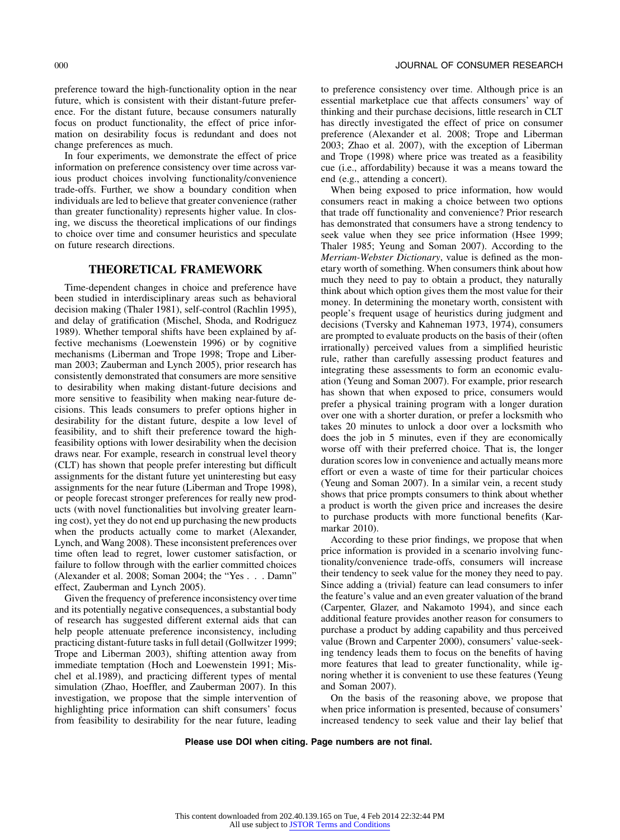preference toward the high-functionality option in the near future, which is consistent with their distant-future preference. For the distant future, because consumers naturally focus on product functionality, the effect of price information on desirability focus is redundant and does not change preferences as much.

In four experiments, we demonstrate the effect of price information on preference consistency over time across various product choices involving functionality/convenience trade-offs. Further, we show a boundary condition when individuals are led to believe that greater convenience (rather than greater functionality) represents higher value. In closing, we discuss the theoretical implications of our findings to choice over time and consumer heuristics and speculate on future research directions.

#### **THEORETICAL FRAMEWORK**

Time-dependent changes in choice and preference have been studied in interdisciplinary areas such as behavioral decision making (Thaler 1981), self-control (Rachlin 1995), and delay of gratification (Mischel, Shoda, and Rodriguez 1989). Whether temporal shifts have been explained by affective mechanisms (Loewenstein 1996) or by cognitive mechanisms (Liberman and Trope 1998; Trope and Liberman 2003; Zauberman and Lynch 2005), prior research has consistently demonstrated that consumers are more sensitive to desirability when making distant-future decisions and more sensitive to feasibility when making near-future decisions. This leads consumers to prefer options higher in desirability for the distant future, despite a low level of feasibility, and to shift their preference toward the highfeasibility options with lower desirability when the decision draws near. For example, research in construal level theory (CLT) has shown that people prefer interesting but difficult assignments for the distant future yet uninteresting but easy assignments for the near future (Liberman and Trope 1998), or people forecast stronger preferences for really new products (with novel functionalities but involving greater learning cost), yet they do not end up purchasing the new products when the products actually come to market (Alexander, Lynch, and Wang 2008). These inconsistent preferences over time often lead to regret, lower customer satisfaction, or failure to follow through with the earlier committed choices (Alexander et al. 2008; Soman 2004; the "Yes . . . Damn" effect, Zauberman and Lynch 2005).

Given the frequency of preference inconsistency over time and its potentially negative consequences, a substantial body of research has suggested different external aids that can help people attenuate preference inconsistency, including practicing distant-future tasks in full detail (Gollwitzer 1999; Trope and Liberman 2003), shifting attention away from immediate temptation (Hoch and Loewenstein 1991; Mischel et al.1989), and practicing different types of mental simulation (Zhao, Hoeffler, and Zauberman 2007). In this investigation, we propose that the simple intervention of highlighting price information can shift consumers' focus from feasibility to desirability for the near future, leading to preference consistency over time. Although price is an essential marketplace cue that affects consumers' way of thinking and their purchase decisions, little research in CLT has directly investigated the effect of price on consumer preference (Alexander et al. 2008; Trope and Liberman 2003; Zhao et al. 2007), with the exception of Liberman and Trope (1998) where price was treated as a feasibility cue (i.e., affordability) because it was a means toward the end (e.g., attending a concert).

When being exposed to price information, how would consumers react in making a choice between two options that trade off functionality and convenience? Prior research has demonstrated that consumers have a strong tendency to seek value when they see price information (Hsee 1999; Thaler 1985; Yeung and Soman 2007). According to the *Merriam-Webster Dictionary*, value is defined as the monetary worth of something. When consumers think about how much they need to pay to obtain a product, they naturally think about which option gives them the most value for their money. In determining the monetary worth, consistent with people's frequent usage of heuristics during judgment and decisions (Tversky and Kahneman 1973, 1974), consumers are prompted to evaluate products on the basis of their (often irrationally) perceived values from a simplified heuristic rule, rather than carefully assessing product features and integrating these assessments to form an economic evaluation (Yeung and Soman 2007). For example, prior research has shown that when exposed to price, consumers would prefer a physical training program with a longer duration over one with a shorter duration, or prefer a locksmith who takes 20 minutes to unlock a door over a locksmith who does the job in 5 minutes, even if they are economically worse off with their preferred choice. That is, the longer duration scores low in convenience and actually means more effort or even a waste of time for their particular choices (Yeung and Soman 2007). In a similar vein, a recent study shows that price prompts consumers to think about whether a product is worth the given price and increases the desire to purchase products with more functional benefits (Karmarkar 2010).

According to these prior findings, we propose that when price information is provided in a scenario involving functionality/convenience trade-offs, consumers will increase their tendency to seek value for the money they need to pay. Since adding a (trivial) feature can lead consumers to infer the feature's value and an even greater valuation of the brand (Carpenter, Glazer, and Nakamoto 1994), and since each additional feature provides another reason for consumers to purchase a product by adding capability and thus perceived value (Brown and Carpenter 2000), consumers' value-seeking tendency leads them to focus on the benefits of having more features that lead to greater functionality, while ignoring whether it is convenient to use these features (Yeung and Soman 2007).

On the basis of the reasoning above, we propose that when price information is presented, because of consumers' increased tendency to seek value and their lay belief that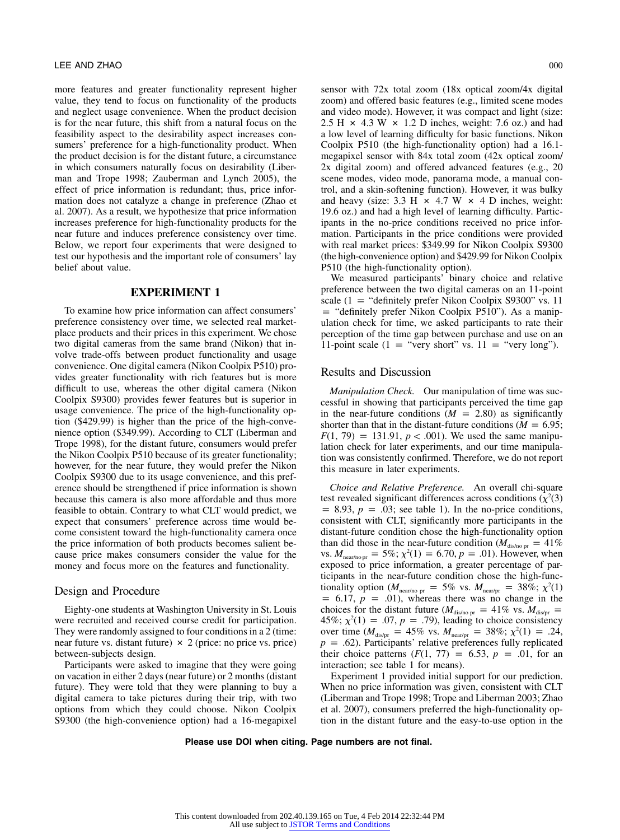#### LEE AND ZHAO 000

more features and greater functionality represent higher value, they tend to focus on functionality of the products and neglect usage convenience. When the product decision is for the near future, this shift from a natural focus on the feasibility aspect to the desirability aspect increases consumers' preference for a high-functionality product. When the product decision is for the distant future, a circumstance in which consumers naturally focus on desirability (Liberman and Trope 1998; Zauberman and Lynch 2005), the effect of price information is redundant; thus, price information does not catalyze a change in preference (Zhao et al. 2007). As a result, we hypothesize that price information increases preference for high-functionality products for the near future and induces preference consistency over time. Below, we report four experiments that were designed to test our hypothesis and the important role of consumers' lay belief about value.

### **EXPERIMENT 1**

To examine how price information can affect consumers' preference consistency over time, we selected real marketplace products and their prices in this experiment. We chose two digital cameras from the same brand (Nikon) that involve trade-offs between product functionality and usage convenience. One digital camera (Nikon Coolpix P510) provides greater functionality with rich features but is more difficult to use, whereas the other digital camera (Nikon Coolpix S9300) provides fewer features but is superior in usage convenience. The price of the high-functionality option (\$429.99) is higher than the price of the high-convenience option (\$349.99). According to CLT (Liberman and Trope 1998), for the distant future, consumers would prefer the Nikon Coolpix P510 because of its greater functionality; however, for the near future, they would prefer the Nikon Coolpix S9300 due to its usage convenience, and this preference should be strengthened if price information is shown because this camera is also more affordable and thus more feasible to obtain. Contrary to what CLT would predict, we expect that consumers' preference across time would become consistent toward the high-functionality camera once the price information of both products becomes salient because price makes consumers consider the value for the money and focus more on the features and functionality.

#### Design and Procedure

Eighty-one students at Washington University in St. Louis were recruited and received course credit for participation. They were randomly assigned to four conditions in a 2 (time: near future vs. distant future)  $\times$  2 (price: no price vs. price) between-subjects design.

Participants were asked to imagine that they were going on vacation in either 2 days (near future) or 2 months (distant future). They were told that they were planning to buy a digital camera to take pictures during their trip, with two options from which they could choose. Nikon Coolpix S9300 (the high-convenience option) had a 16-megapixel sensor with 72x total zoom (18x optical zoom/4x digital zoom) and offered basic features (e.g., limited scene modes and video mode). However, it was compact and light (size: 2.5 H  $\times$  4.3 W  $\times$  1.2 D inches, weight: 7.6 oz.) and had a low level of learning difficulty for basic functions. Nikon Coolpix P510 (the high-functionality option) had a 16.1 megapixel sensor with 84x total zoom (42x optical zoom/ 2x digital zoom) and offered advanced features (e.g., 20 scene modes, video mode, panorama mode, a manual control, and a skin-softening function). However, it was bulky and heavy (size: 3.3 H  $\times$  4.7 W  $\times$  4 D inches, weight: 19.6 oz.) and had a high level of learning difficulty. Participants in the no-price conditions received no price information. Participants in the price conditions were provided with real market prices: \$349.99 for Nikon Coolpix S9300 (the high-convenience option) and \$429.99 for Nikon Coolpix P510 (the high-functionality option).

We measured participants' binary choice and relative preference between the two digital cameras on an 11-point scale (1 = "definitely prefer Nikon Coolpix S9300" vs. 11  $=$  "definitely prefer Nikon Coolpix P510"). As a manipulation check for time, we asked participants to rate their perception of the time gap between purchase and use on an 11-point scale (1 = "very short" vs.  $11$  = "very long").

#### Results and Discussion

*Manipulation Check.* Our manipulation of time was successful in showing that participants perceived the time gap in the near-future conditions  $(M = 2.80)$  as significantly shorter than that in the distant-future conditions ( $M = 6.95$ ;  $F(1, 79) = 131.91, p < .001$ . We used the same manipulation check for later experiments, and our time manipulation was consistently confirmed. Therefore, we do not report this measure in later experiments.

*Choice and Relative Preference.* An overall chi-square test revealed significant differences across conditions  $(\chi^2(3))$  $p = 8.93$ ,  $p = .03$ ; see table 1). In the no-price conditions, consistent with CLT, significantly more participants in the distant-future condition chose the high-functionality option than did those in the near-future condition ( $M_{\text{dis/no}} = 41\%$ vs.  $M_{\text{near/no pr}} = 5\%; \chi^2(1) = 6.70, p = .01)$ . However, when exposed to price information, a greater percentage of participants in the near-future condition chose the high-functionality option ( $M_{\text{near/no}} = 5\%$  vs.  $M_{\text{near/pr}} = 38\%; \; \chi^2(1)$  $p = 6.17$ ,  $p = .01$ ), whereas there was no change in the choices for the distant future ( $M_{\text{dis/no}}$  pr = 41% vs.  $M_{\text{dis/pr}}$  = 45%;  $\chi^2(1) = .07$ ,  $p = .79$ ), leading to choice consistency over time ( $M_{\text{dis/pr}} = 45\%$  vs.  $M_{\text{near/pr}} = 38\%; \chi^2(1) = .24,$  $p = .62$ ). Participants' relative preferences fully replicated their choice patterns  $(F(1, 77) = 6.53, p = .01,$  for an interaction; see table 1 for means).

Experiment 1 provided initial support for our prediction. When no price information was given, consistent with CLT (Liberman and Trope 1998; Trope and Liberman 2003; Zhao et al. 2007), consumers preferred the high-functionality option in the distant future and the easy-to-use option in the

**Please use DOI when citing. Page numbers are not final.**

This content downloaded from 202.40.139.165 on Tue, 4 Feb 2014 22:32:44 PM All use subject to [JSTOR Terms and Conditions](http://www.jstor.org/page/info/about/policies/terms.jsp)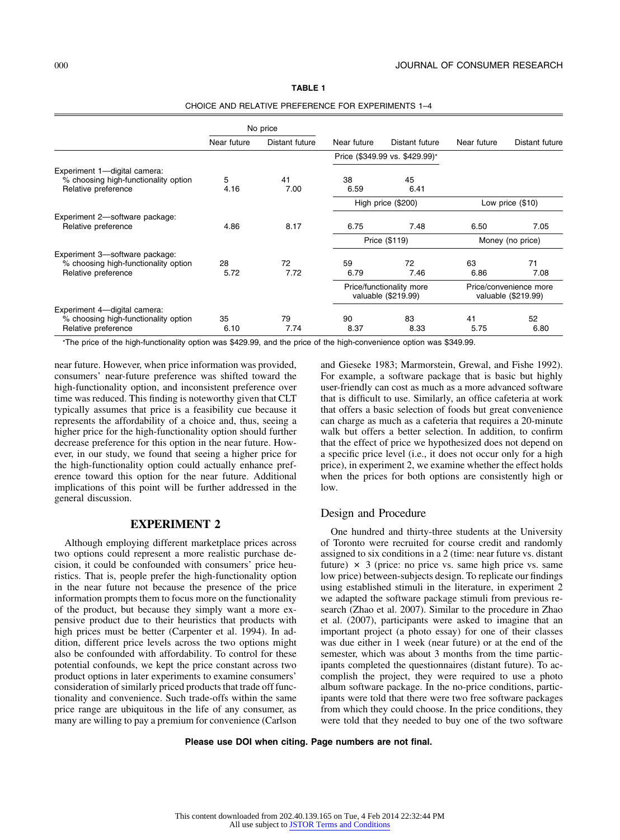|                                                                                               | No price    |                |                                                 |                |                                               |                |
|-----------------------------------------------------------------------------------------------|-------------|----------------|-------------------------------------------------|----------------|-----------------------------------------------|----------------|
|                                                                                               | Near future | Distant future | Near future                                     | Distant future | Near future                                   | Distant future |
|                                                                                               |             |                | Price (\$349.99 vs. \$429.99)*                  |                |                                               |                |
| Experiment 1-digital camera:<br>% choosing high-functionality option<br>Relative preference   | 5<br>4.16   | 41<br>7.00     | 38<br>6.59                                      | 45<br>6.41     |                                               |                |
|                                                                                               |             |                | High price (\$200)                              |                | Low price $(\$10)$                            |                |
| Experiment 2-software package:<br>Relative preference                                         | 4.86        | 8.17           | 6.75                                            | 7.48           | 6.50                                          | 7.05           |
|                                                                                               |             |                | Price (\$119)                                   |                | Money (no price)                              |                |
| Experiment 3-software package:<br>% choosing high-functionality option<br>Relative preference | 28<br>5.72  | 72<br>7.72     | 59<br>6.79                                      | 72<br>7.46     | 63<br>6.86                                    | 71<br>7.08     |
|                                                                                               |             |                | Price/functionality more<br>valuable (\$219.99) |                | Price/convenience more<br>valuable (\$219.99) |                |
| Experiment 4-digital camera:<br>% choosing high-functionality option<br>Relative preference   | 35<br>6.10  | 79<br>7.74     | 90<br>8.37                                      | 83<br>8.33     | 41<br>5.75                                    | 52<br>6.80     |

**TABLE 1**

CHOICE AND RELATIVE PREFERENCE FOR EXPERIMENTS 1–4

\*The price of the high-functionality option was \$429.99, and the price of the high-convenience option was \$349.99.

near future. However, when price information was provided, consumers' near-future preference was shifted toward the high-functionality option, and inconsistent preference over time was reduced. This finding is noteworthy given that CLT typically assumes that price is a feasibility cue because it represents the affordability of a choice and, thus, seeing a higher price for the high-functionality option should further decrease preference for this option in the near future. However, in our study, we found that seeing a higher price for the high-functionality option could actually enhance preference toward this option for the near future. Additional implications of this point will be further addressed in the general discussion.

# **EXPERIMENT 2**

Although employing different marketplace prices across two options could represent a more realistic purchase decision, it could be confounded with consumers' price heuristics. That is, people prefer the high-functionality option in the near future not because the presence of the price information prompts them to focus more on the functionality of the product, but because they simply want a more expensive product due to their heuristics that products with high prices must be better (Carpenter et al. 1994). In addition, different price levels across the two options might also be confounded with affordability. To control for these potential confounds, we kept the price constant across two product options in later experiments to examine consumers' consideration of similarly priced products that trade off functionality and convenience. Such trade-offs within the same price range are ubiquitous in the life of any consumer, as many are willing to pay a premium for convenience (Carlson and Gieseke 1983; Marmorstein, Grewal, and Fishe 1992). For example, a software package that is basic but highly user-friendly can cost as much as a more advanced software that is difficult to use. Similarly, an office cafeteria at work that offers a basic selection of foods but great convenience can charge as much as a cafeteria that requires a 20-minute walk but offers a better selection. In addition, to confirm that the effect of price we hypothesized does not depend on a specific price level (i.e., it does not occur only for a high price), in experiment 2, we examine whether the effect holds when the prices for both options are consistently high or low.

# Design and Procedure

One hundred and thirty-three students at the University of Toronto were recruited for course credit and randomly assigned to six conditions in a 2 (time: near future vs. distant future)  $\times$  3 (price: no price vs. same high price vs. same low price) between-subjects design. To replicate our findings using established stimuli in the literature, in experiment 2 we adapted the software package stimuli from previous research (Zhao et al. 2007). Similar to the procedure in Zhao et al. (2007), participants were asked to imagine that an important project (a photo essay) for one of their classes was due either in 1 week (near future) or at the end of the semester, which was about 3 months from the time participants completed the questionnaires (distant future). To accomplish the project, they were required to use a photo album software package. In the no-price conditions, participants were told that there were two free software packages from which they could choose. In the price conditions, they were told that they needed to buy one of the two software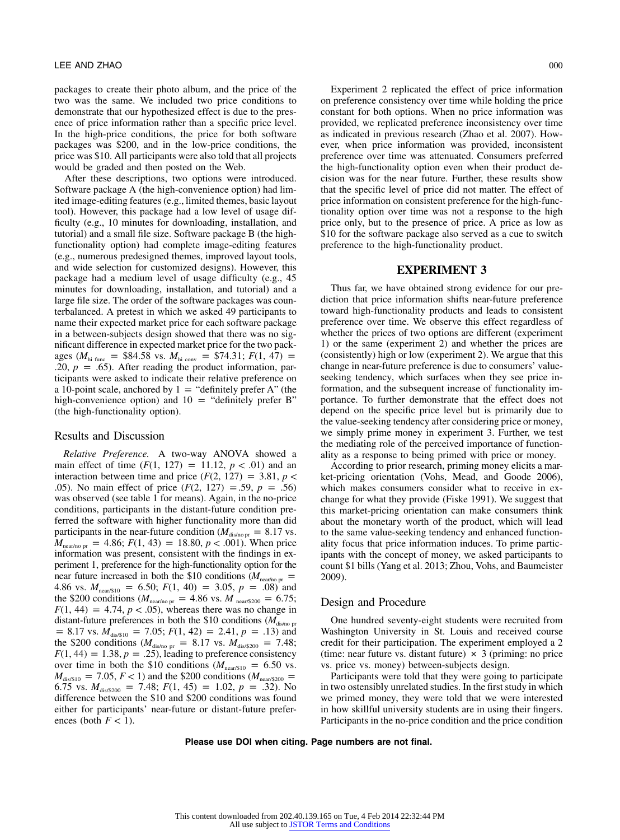packages to create their photo album, and the price of the two was the same. We included two price conditions to demonstrate that our hypothesized effect is due to the presence of price information rather than a specific price level. In the high-price conditions, the price for both software packages was \$200, and in the low-price conditions, the price was \$10. All participants were also told that all projects would be graded and then posted on the Web.

After these descriptions, two options were introduced. Software package A (the high-convenience option) had limited image-editing features (e.g., limited themes, basic layout tool). However, this package had a low level of usage difficulty (e.g., 10 minutes for downloading, installation, and tutorial) and a small file size. Software package B (the highfunctionality option) had complete image-editing features (e.g., numerous predesigned themes, improved layout tools, and wide selection for customized designs). However, this package had a medium level of usage difficulty (e.g., 45 minutes for downloading, installation, and tutorial) and a large file size. The order of the software packages was counterbalanced. A pretest in which we asked 49 participants to name their expected market price for each software package in a between-subjects design showed that there was no significant difference in expected market price for the two packages ( $M_{\text{hi func}}$  = \$84.58 vs.  $M_{\text{hi conv}}$  = \$74.31;  $F(1, 47)$  = .20,  $p = .65$ ). After reading the product information, participants were asked to indicate their relative preference on a 10-point scale, anchored by  $1 =$  "definitely prefer A" (the high-convenience option) and  $10 =$  "definitely prefer B" (the high-functionality option).

#### Results and Discussion

*Relative Preference.* A two-way ANOVA showed a main effect of time  $(F(1, 127) = 11.12, p < .01)$  and an interaction between time and price  $(F(2, 127) = 3.81, p <$ .05). No main effect of price  $(F(2, 127) = .59, p = .56)$ was observed (see table 1 for means). Again, in the no-price conditions, participants in the distant-future condition preferred the software with higher functionality more than did participants in the near-future condition ( $M_{\text{dis/no pr}} = 8.17$  vs.  $M_{\text{near/no pr}} = 4.86$ ;  $F(1, 43) = 18.80, p < .001$ ). When price information was present, consistent with the findings in experiment 1, preference for the high-functionality option for the near future increased in both the \$10 conditions ( $M_{\text{near/no pr}} =$ 4.86 vs.  $M_{\text{near/s10}} = 6.50$ ;  $F(1, 40) = 3.05$ ,  $p = .08$ ) and the \$200 conditions ( $M_{\text{near/no}}$  pr = 4.86 vs.  $M_{\text{near/$200}} = 6.75$ ;  $F(1, 44) = 4.74, p < .05$ , whereas there was no change in distant-future preferences in both the \$10 conditions ( $M_{\text{dis/no}}$ <sub>pr</sub>  $p = 8.17$  vs.  $M_{\text{dis/$10}} = 7.05$ ;  $F(1, 42) = 2.41$ ,  $p = .13$ ) and the \$200 conditions ( $M_{\text{dis/no}}$  pr = 8.17 vs.  $M_{\text{dis/$200}} = 7.48$ ;  $F(1, 44) = 1.38, p = .25$ , leading to preference consistency over time in both the \$10 conditions ( $M_{\text{near/s10}} = 6.50$  vs.  $M_{\text{dis/$10}} = 7.05, F < 1$ ) and the \$200 conditions ( $M_{\text{near/$200}} =$ 6.75 vs.  $M_{\text{dis/s200}} = 7.48; F(1, 45) = 1.02, p = .32$ ). No difference between the \$10 and \$200 conditions was found either for participants' near-future or distant-future preferences (both  $F < 1$ ).

Experiment 2 replicated the effect of price information on preference consistency over time while holding the price constant for both options. When no price information was provided, we replicated preference inconsistency over time as indicated in previous research (Zhao et al. 2007). However, when price information was provided, inconsistent preference over time was attenuated. Consumers preferred the high-functionality option even when their product decision was for the near future. Further, these results show that the specific level of price did not matter. The effect of price information on consistent preference for the high-functionality option over time was not a response to the high price only, but to the presence of price. A price as low as \$10 for the software package also served as a cue to switch preference to the high-functionality product.

#### **EXPERIMENT 3**

Thus far, we have obtained strong evidence for our prediction that price information shifts near-future preference toward high-functionality products and leads to consistent preference over time. We observe this effect regardless of whether the prices of two options are different (experiment 1) or the same (experiment 2) and whether the prices are (consistently) high or low (experiment 2). We argue that this change in near-future preference is due to consumers' valueseeking tendency, which surfaces when they see price information, and the subsequent increase of functionality importance. To further demonstrate that the effect does not depend on the specific price level but is primarily due to the value-seeking tendency after considering price or money, we simply prime money in experiment 3. Further, we test the mediating role of the perceived importance of functionality as a response to being primed with price or money.

According to prior research, priming money elicits a market-pricing orientation (Vohs, Mead, and Goode 2006), which makes consumers consider what to receive in exchange for what they provide (Fiske 1991). We suggest that this market-pricing orientation can make consumers think about the monetary worth of the product, which will lead to the same value-seeking tendency and enhanced functionality focus that price information induces. To prime participants with the concept of money, we asked participants to count \$1 bills (Yang et al. 2013; Zhou, Vohs, and Baumeister 2009).

#### Design and Procedure

One hundred seventy-eight students were recruited from Washington University in St. Louis and received course credit for their participation. The experiment employed a 2 (time: near future vs. distant future)  $\times$  3 (priming: no price vs. price vs. money) between-subjects design.

Participants were told that they were going to participate in two ostensibly unrelated studies. In the first study in which we primed money, they were told that we were interested in how skillful university students are in using their fingers. Participants in the no-price condition and the price condition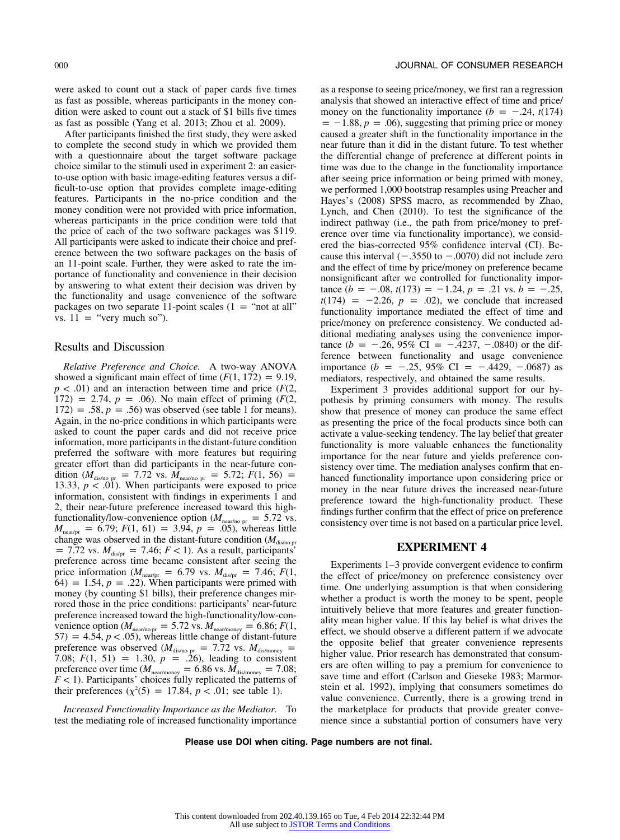were asked to count out a stack of paper cards five times as fast as possible, whereas participants in the money condition were asked to count out a stack of \$1 bills five times as fast as possible (Yang et al. 2013; Zhou et al. 2009).

After participants finished the first study, they were asked to complete the second study in which we provided them with a questionnaire about the target software package choice similar to the stimuli used in experiment 2: an easierto-use option with basic image-editing features versus a difficult-to-use option that provides complete image-editing features. Participants in the no-price condition and the money condition were not provided with price information, whereas participants in the price condition were told that the price of each of the two software packages was \$119. All participants were asked to indicate their choice and preference between the two software packages on the basis of an 11-point scale. Further, they were asked to rate the importance of functionality and convenience in their decision by answering to what extent their decision was driven by the functionality and usage convenience of the software packages on two separate 11-point scales  $(1 = "not at all")$ vs.  $11 =$  "very much so").

#### Results and Discussion

*Relative Preference and Choice.* A two-way ANOVA showed a significant main effect of time  $(F(1, 172) = 9.19$ ,  $p < .01$ ) and an interaction between time and price ( $F(2)$ , 172) = 2.74,  $p = .06$ ). No main effect of priming ( $F(2, 0)$  $172$ ) = .58,  $p = .56$ ) was observed (see table 1 for means). Again, in the no-price conditions in which participants were asked to count the paper cards and did not receive price information, more participants in the distant-future condition preferred the software with more features but requiring greater effort than did participants in the near-future condition ( $M_{\text{dis/no}}$  pr = 7.72 vs.  $M_{\text{near/no}}$  pr = 5.72;  $F(1, 56)$  = 13.33,  $p < .01$ ). When participants were exposed to price information, consistent with findings in experiments 1 and 2, their near-future preference increased toward this highfunctionality/low-convenience option ( $M_{\text{near/no}}$ <sub>pr</sub> = 5.72 vs.  $M_{\text{near/pr}} = 6.79; F(1, 61) = 3.94, p = .05$ , whereas little change was observed in the distant-future condition  $(M_{dis/no\ pr})$  $p = 7.72$  vs.  $M_{\text{dis/pr}} = 7.46; F < 1$ ). As a result, participants<sup>'</sup> preference across time became consistent after seeing the price information ( $M_{\text{near/pr}} = 6.79$  vs.  $M_{\text{dis/pr}} = 7.46$ ;  $F(1,$  $64$ ) = 1.54,  $p = .22$ ). When participants were primed with money (by counting \$1 bills), their preference changes mirrored those in the price conditions: participants' near-future preference increased toward the high-functionality/low-convenience option ( $M_{\text{near/nopr}} = 5.72$  vs.  $M_{\text{near/noney}} = 6.86; F(1,$  $57$ ) = 4.54,  $p < .05$ ), whereas little change of distant-future preference was observed  $(M_{\text{dis/no}})_{\text{pr}} = 7.72 \text{ vs. } M_{\text{dis/money}} =$ 7.08;  $F(1, 51) = 1.30, p = .26$ , leading to consistent preference over time ( $M_{\text{near/money}} = 6.86 \text{ vs. } M_{\text{dis/money}} = 7.08;$  $F < 1$ ). Participants' choices fully replicated the patterns of their preferences  $(\chi^2(5) = 17.84, p < .01$ ; see table 1).

*Increased Functionality Importance as the Mediator.* To test the mediating role of increased functionality importance as a response to seeing price/money, we first ran a regression analysis that showed an interactive effect of time and price/ money on the functionality importance  $(b = -.24, t(174))$  $=$  -1.88,  $p = .06$ ), suggesting that priming price or money caused a greater shift in the functionality importance in the near future than it did in the distant future. To test whether the differential change of preference at different points in time was due to the change in the functionality importance after seeing price information or being primed with money, we performed 1,000 bootstrap resamples using Preacher and Hayes's (2008) SPSS macro, as recommended by Zhao, Lynch, and Chen (2010). To test the significance of the indirect pathway (i.e., the path from price/money to preference over time via functionality importance), we considered the bias-corrected 95% confidence interval (CI). Because this interval  $(-.3550 \text{ to } -.0070)$  did not include zero and the effect of time by price/money on preference became nonsignificant after we controlled for functionality impor $t = (-0.08, t(173)) = -1.24, p = .21$  vs.  $b = -0.25$ ,  $t(174) = -2.26$ ,  $p = .02$ ), we conclude that increased functionality importance mediated the effect of time and price/money on preference consistency. We conducted additional mediating analyses using the convenience importance  $(b = -.26, 95\% \text{ CI} = -.4237, -.0840)$  or the difference between functionality and usage convenience importance  $(b = -.25, 95\% \text{ CI} = -.4429, -.0687)$  as mediators, respectively, and obtained the same results.

Experiment 3 provides additional support for our hypothesis by priming consumers with money. The results show that presence of money can produce the same effect as presenting the price of the focal products since both can activate a value-seeking tendency. The lay belief that greater functionality is more valuable enhances the functionality importance for the near future and yields preference consistency over time. The mediation analyses confirm that enhanced functionality importance upon considering price or money in the near future drives the increased near-future preference toward the high-functionality product. These findings further confirm that the effect of price on preference consistency over time is not based on a particular price level.

#### **EXPERIMENT 4**

Experiments 1–3 provide convergent evidence to confirm the effect of price/money on preference consistency over time. One underlying assumption is that when considering whether a product is worth the money to be spent, people intuitively believe that more features and greater functionality mean higher value. If this lay belief is what drives the effect, we should observe a different pattern if we advocate the opposite belief that greater convenience represents higher value. Prior research has demonstrated that consumers are often willing to pay a premium for convenience to save time and effort (Carlson and Gieseke 1983; Marmorstein et al. 1992), implying that consumers sometimes do value convenience. Currently, there is a growing trend in the marketplace for products that provide greater convenience since a substantial portion of consumers have very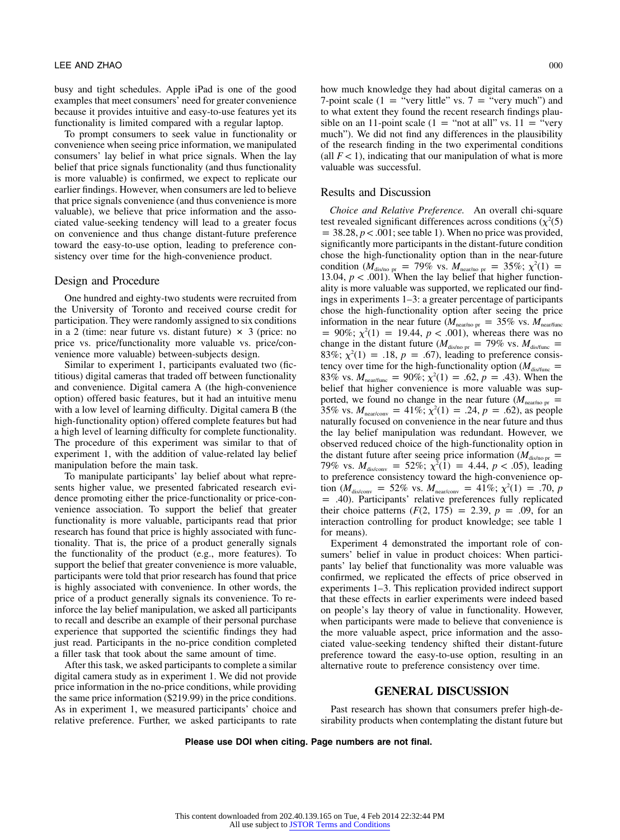busy and tight schedules. Apple iPad is one of the good examples that meet consumers' need for greater convenience because it provides intuitive and easy-to-use features yet its functionality is limited compared with a regular laptop.

To prompt consumers to seek value in functionality or convenience when seeing price information, we manipulated consumers' lay belief in what price signals. When the lay belief that price signals functionality (and thus functionality is more valuable) is confirmed, we expect to replicate our earlier findings. However, when consumers are led to believe that price signals convenience (and thus convenience is more valuable), we believe that price information and the associated value-seeking tendency will lead to a greater focus on convenience and thus change distant-future preference toward the easy-to-use option, leading to preference consistency over time for the high-convenience product.

#### Design and Procedure

One hundred and eighty-two students were recruited from the University of Toronto and received course credit for participation. They were randomly assigned to six conditions in a 2 (time: near future vs. distant future)  $\times$  3 (price: no price vs. price/functionality more valuable vs. price/convenience more valuable) between-subjects design.

Similar to experiment 1, participants evaluated two (fictitious) digital cameras that traded off between functionality and convenience. Digital camera A (the high-convenience option) offered basic features, but it had an intuitive menu with a low level of learning difficulty. Digital camera B (the high-functionality option) offered complete features but had a high level of learning difficulty for complete functionality. The procedure of this experiment was similar to that of experiment 1, with the addition of value-related lay belief manipulation before the main task.

To manipulate participants' lay belief about what represents higher value, we presented fabricated research evidence promoting either the price-functionality or price-convenience association. To support the belief that greater functionality is more valuable, participants read that prior research has found that price is highly associated with functionality. That is, the price of a product generally signals the functionality of the product (e.g., more features). To support the belief that greater convenience is more valuable, participants were told that prior research has found that price is highly associated with convenience. In other words, the price of a product generally signals its convenience. To reinforce the lay belief manipulation, we asked all participants to recall and describe an example of their personal purchase experience that supported the scientific findings they had just read. Participants in the no-price condition completed a filler task that took about the same amount of time.

After this task, we asked participants to complete a similar digital camera study as in experiment 1. We did not provide price information in the no-price conditions, while providing the same price information (\$219.99) in the price conditions. As in experiment 1, we measured participants' choice and relative preference. Further, we asked participants to rate how much knowledge they had about digital cameras on a 7-point scale (1 = "very little" vs.  $7$  = "very much") and to what extent they found the recent research findings plausible on an 11-point scale (1 = "not at all" vs.  $11 =$  "very much"). We did not find any differences in the plausibility of the research finding in the two experimental conditions (all  $F < 1$ ), indicating that our manipulation of what is more valuable was successful.

#### Results and Discussion

*Choice and Relative Preference.* An overall chi-square test revealed significant differences across conditions  $(\chi^2(5))$  $p = 38.28$ ,  $p < .001$ ; see table 1). When no price was provided, significantly more participants in the distant-future condition chose the high-functionality option than in the near-future condition ( $M_{\text{dis/no}}$  pr = 79% vs.  $M_{\text{near/no}}$  pr = 35%;  $\chi^2(1)$  = 13.04,  $p < .001$ ). When the lay belief that higher functionality is more valuable was supported, we replicated our findings in experiments 1–3: a greater percentage of participants chose the high-functionality option after seeing the price information in the near future ( $M_{\text{near/no}} = 35\%$  vs.  $M_{\text{near/func}}$  $p = 90\%$ ;  $\chi^2(1) = 19.44$ ,  $p < .001$ ), whereas there was no change in the distant future ( $M_{\text{dis/no pr}} = 79\%$  vs.  $M_{\text{dis/func}} =$ 83%;  $\chi^2(1) = .18$ ,  $p = .67$ ), leading to preference consistency over time for the high-functionality option ( $M_{\text{dis/func}}$  = 83% vs.  $M_{\text{near/func}} = 90\%; \chi^2(1) = .62, p = .43)$ . When the belief that higher convenience is more valuable was supported, we found no change in the near future  $(M_{\text{near/no or}} =$ 35% vs.  $M_{\text{near/conv}} = 41\%; \chi^2(1) = .24, p = .62)$ , as people naturally focused on convenience in the near future and thus the lay belief manipulation was redundant. However, we observed reduced choice of the high-functionality option in the distant future after seeing price information ( $M_{\text{dis/no}} =$ 79% vs.  $M_{\text{dis/conv}} = 52\%; \; \chi^2(1) = 4.44, \; p < .05$ ), leading to preference consistency toward the high-convenience option ( $M_{\text{dis/cony}} = 52\%$  vs.  $M_{\text{near/cony}} = 41\%; \; \chi^2(1) = .70, \; p$ p .40). Participants' relative preferences fully replicated their choice patterns  $(F(2, 175) = 2.39, p = .09)$ , for an interaction controlling for product knowledge; see table 1 for means).

Experiment 4 demonstrated the important role of consumers' belief in value in product choices: When participants' lay belief that functionality was more valuable was confirmed, we replicated the effects of price observed in experiments 1–3. This replication provided indirect support that these effects in earlier experiments were indeed based on people's lay theory of value in functionality. However, when participants were made to believe that convenience is the more valuable aspect, price information and the associated value-seeking tendency shifted their distant-future preference toward the easy-to-use option, resulting in an alternative route to preference consistency over time.

#### **GENERAL DISCUSSION**

Past research has shown that consumers prefer high-desirability products when contemplating the distant future but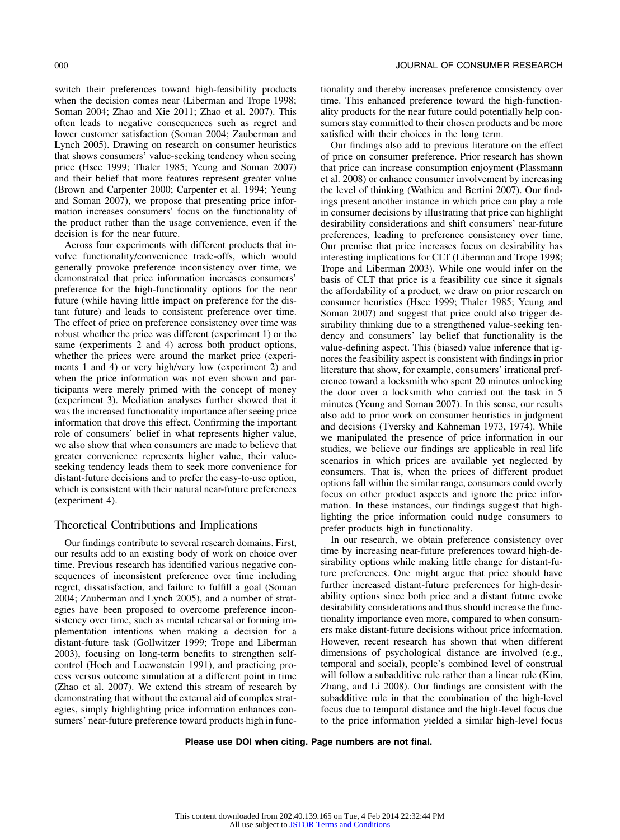switch their preferences toward high-feasibility products when the decision comes near (Liberman and Trope 1998; Soman 2004; Zhao and Xie 2011; Zhao et al. 2007). This often leads to negative consequences such as regret and lower customer satisfaction (Soman 2004; Zauberman and Lynch 2005). Drawing on research on consumer heuristics that shows consumers' value-seeking tendency when seeing price (Hsee 1999; Thaler 1985; Yeung and Soman 2007) and their belief that more features represent greater value (Brown and Carpenter 2000; Carpenter et al. 1994; Yeung and Soman 2007), we propose that presenting price information increases consumers' focus on the functionality of the product rather than the usage convenience, even if the decision is for the near future.

Across four experiments with different products that involve functionality/convenience trade-offs, which would generally provoke preference inconsistency over time, we demonstrated that price information increases consumers' preference for the high-functionality options for the near future (while having little impact on preference for the distant future) and leads to consistent preference over time. The effect of price on preference consistency over time was robust whether the price was different (experiment 1) or the same (experiments 2 and 4) across both product options, whether the prices were around the market price (experiments 1 and 4) or very high/very low (experiment 2) and when the price information was not even shown and participants were merely primed with the concept of money (experiment 3). Mediation analyses further showed that it was the increased functionality importance after seeing price information that drove this effect. Confirming the important role of consumers' belief in what represents higher value, we also show that when consumers are made to believe that greater convenience represents higher value, their valueseeking tendency leads them to seek more convenience for distant-future decisions and to prefer the easy-to-use option, which is consistent with their natural near-future preferences (experiment 4).

# Theoretical Contributions and Implications

Our findings contribute to several research domains. First, our results add to an existing body of work on choice over time. Previous research has identified various negative consequences of inconsistent preference over time including regret, dissatisfaction, and failure to fulfill a goal (Soman 2004; Zauberman and Lynch 2005), and a number of strategies have been proposed to overcome preference inconsistency over time, such as mental rehearsal or forming implementation intentions when making a decision for a distant-future task (Gollwitzer 1999; Trope and Liberman 2003), focusing on long-term benefits to strengthen selfcontrol (Hoch and Loewenstein 1991), and practicing process versus outcome simulation at a different point in time (Zhao et al. 2007). We extend this stream of research by demonstrating that without the external aid of complex strategies, simply highlighting price information enhances consumers' near-future preference toward products high in functionality and thereby increases preference consistency over time. This enhanced preference toward the high-functionality products for the near future could potentially help consumers stay committed to their chosen products and be more satisfied with their choices in the long term.

Our findings also add to previous literature on the effect of price on consumer preference. Prior research has shown that price can increase consumption enjoyment (Plassmann et al. 2008) or enhance consumer involvement by increasing the level of thinking (Wathieu and Bertini 2007). Our findings present another instance in which price can play a role in consumer decisions by illustrating that price can highlight desirability considerations and shift consumers' near-future preferences, leading to preference consistency over time. Our premise that price increases focus on desirability has interesting implications for CLT (Liberman and Trope 1998; Trope and Liberman 2003). While one would infer on the basis of CLT that price is a feasibility cue since it signals the affordability of a product, we draw on prior research on consumer heuristics (Hsee 1999; Thaler 1985; Yeung and Soman 2007) and suggest that price could also trigger desirability thinking due to a strengthened value-seeking tendency and consumers' lay belief that functionality is the value-defining aspect. This (biased) value inference that ignores the feasibility aspect is consistent with findings in prior literature that show, for example, consumers' irrational preference toward a locksmith who spent 20 minutes unlocking the door over a locksmith who carried out the task in 5 minutes (Yeung and Soman 2007). In this sense, our results also add to prior work on consumer heuristics in judgment and decisions (Tversky and Kahneman 1973, 1974). While we manipulated the presence of price information in our studies, we believe our findings are applicable in real life scenarios in which prices are available yet neglected by consumers. That is, when the prices of different product options fall within the similar range, consumers could overly focus on other product aspects and ignore the price information. In these instances, our findings suggest that highlighting the price information could nudge consumers to prefer products high in functionality.

In our research, we obtain preference consistency over time by increasing near-future preferences toward high-desirability options while making little change for distant-future preferences. One might argue that price should have further increased distant-future preferences for high-desirability options since both price and a distant future evoke desirability considerations and thus should increase the functionality importance even more, compared to when consumers make distant-future decisions without price information. However, recent research has shown that when different dimensions of psychological distance are involved (e.g., temporal and social), people's combined level of construal will follow a subadditive rule rather than a linear rule (Kim, Zhang, and Li 2008). Our findings are consistent with the subadditive rule in that the combination of the high-level focus due to temporal distance and the high-level focus due to the price information yielded a similar high-level focus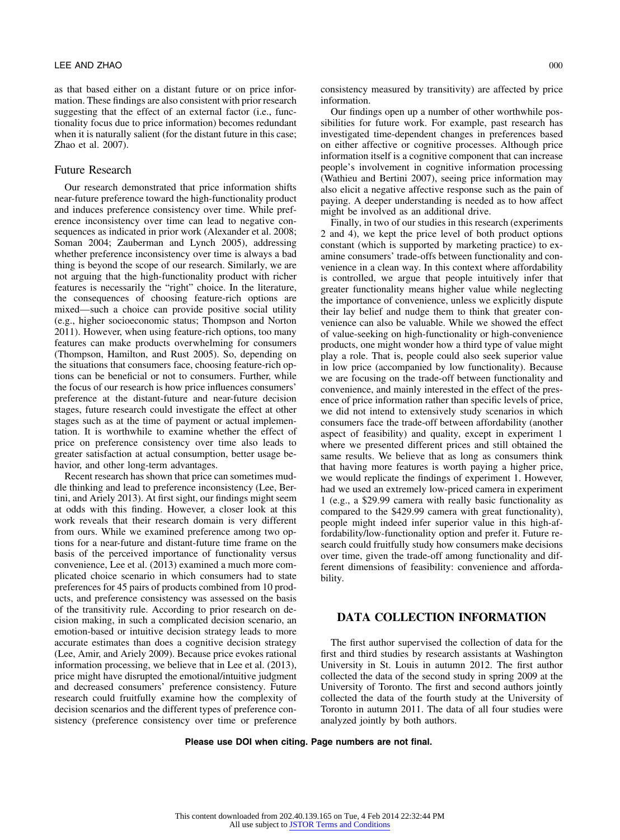as that based either on a distant future or on price information. These findings are also consistent with prior research suggesting that the effect of an external factor (i.e., functionality focus due to price information) becomes redundant when it is naturally salient (for the distant future in this case; Zhao et al. 2007).

#### Future Research

Our research demonstrated that price information shifts near-future preference toward the high-functionality product and induces preference consistency over time. While preference inconsistency over time can lead to negative consequences as indicated in prior work (Alexander et al. 2008; Soman 2004; Zauberman and Lynch 2005), addressing whether preference inconsistency over time is always a bad thing is beyond the scope of our research. Similarly, we are not arguing that the high-functionality product with richer features is necessarily the "right" choice. In the literature, the consequences of choosing feature-rich options are mixed—such a choice can provide positive social utility (e.g., higher socioeconomic status; Thompson and Norton 2011). However, when using feature-rich options, too many features can make products overwhelming for consumers (Thompson, Hamilton, and Rust 2005). So, depending on the situations that consumers face, choosing feature-rich options can be beneficial or not to consumers. Further, while the focus of our research is how price influences consumers' preference at the distant-future and near-future decision stages, future research could investigate the effect at other stages such as at the time of payment or actual implementation. It is worthwhile to examine whether the effect of price on preference consistency over time also leads to greater satisfaction at actual consumption, better usage behavior, and other long-term advantages.

Recent research has shown that price can sometimes muddle thinking and lead to preference inconsistency (Lee, Bertini, and Ariely 2013). At first sight, our findings might seem at odds with this finding. However, a closer look at this work reveals that their research domain is very different from ours. While we examined preference among two options for a near-future and distant-future time frame on the basis of the perceived importance of functionality versus convenience, Lee et al. (2013) examined a much more complicated choice scenario in which consumers had to state preferences for 45 pairs of products combined from 10 products, and preference consistency was assessed on the basis of the transitivity rule. According to prior research on decision making, in such a complicated decision scenario, an emotion-based or intuitive decision strategy leads to more accurate estimates than does a cognitive decision strategy (Lee, Amir, and Ariely 2009). Because price evokes rational information processing, we believe that in Lee et al. (2013), price might have disrupted the emotional/intuitive judgment and decreased consumers' preference consistency. Future research could fruitfully examine how the complexity of decision scenarios and the different types of preference consistency (preference consistency over time or preference consistency measured by transitivity) are affected by price information.

Our findings open up a number of other worthwhile possibilities for future work. For example, past research has investigated time-dependent changes in preferences based on either affective or cognitive processes. Although price information itself is a cognitive component that can increase people's involvement in cognitive information processing (Wathieu and Bertini 2007), seeing price information may also elicit a negative affective response such as the pain of paying. A deeper understanding is needed as to how affect might be involved as an additional drive.

Finally, in two of our studies in this research (experiments 2 and 4), we kept the price level of both product options constant (which is supported by marketing practice) to examine consumers' trade-offs between functionality and convenience in a clean way. In this context where affordability is controlled, we argue that people intuitively infer that greater functionality means higher value while neglecting the importance of convenience, unless we explicitly dispute their lay belief and nudge them to think that greater convenience can also be valuable. While we showed the effect of value-seeking on high-functionality or high-convenience products, one might wonder how a third type of value might play a role. That is, people could also seek superior value in low price (accompanied by low functionality). Because we are focusing on the trade-off between functionality and convenience, and mainly interested in the effect of the presence of price information rather than specific levels of price, we did not intend to extensively study scenarios in which consumers face the trade-off between affordability (another aspect of feasibility) and quality, except in experiment 1 where we presented different prices and still obtained the same results. We believe that as long as consumers think that having more features is worth paying a higher price, we would replicate the findings of experiment 1. However, had we used an extremely low-priced camera in experiment 1 (e.g., a \$29.99 camera with really basic functionality as compared to the \$429.99 camera with great functionality), people might indeed infer superior value in this high-affordability/low-functionality option and prefer it. Future research could fruitfully study how consumers make decisions over time, given the trade-off among functionality and different dimensions of feasibility: convenience and affordability.

# **DATA COLLECTION INFORMATION**

The first author supervised the collection of data for the first and third studies by research assistants at Washington University in St. Louis in autumn 2012. The first author collected the data of the second study in spring 2009 at the University of Toronto. The first and second authors jointly collected the data of the fourth study at the University of Toronto in autumn 2011. The data of all four studies were analyzed jointly by both authors.